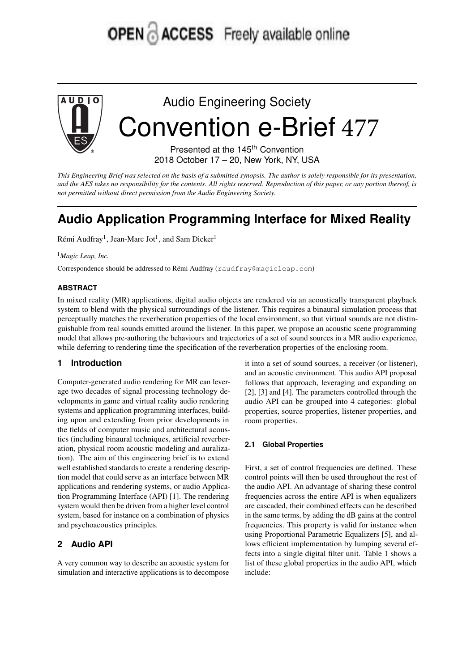# OPEN & ACCESS Freely available online



Audio Engineering Society Convention e-Brief 477

> Presented at the 145<sup>th</sup> Convention 2018 October 17 – 20, New York, NY, USA

This Engineering Brief was selected on the basis of a submitted synopsis. The author is solely responsible for its presentation, and the AES takes no responsibility for the contents. All rights reserved. Reproduction of this paper, or any portion thereof, is *not permitted without direct permission from the Audio Engineering Society.*

# **Audio Application Programming Interface for Mixed Reality**

Rémi Audfray<sup>1</sup>, Jean-Marc Jot<sup>1</sup>, and Sam Dicker<sup>1</sup>

<sup>1</sup>*Magic Leap, Inc.*

Correspondence should be addressed to Rémi Audfray (raudfray@magicleap.com)

#### **ABSTRACT**

In mixed reality (MR) applications, digital audio objects are rendered via an acoustically transparent playback system to blend with the physical surroundings of the listener. This requires a binaural simulation process that perceptually matches the reverberation properties of the local environment, so that virtual sounds are not distinguishable from real sounds emitted around the listener. In this paper, we propose an acoustic scene programming model that allows pre-authoring the behaviours and trajectories of a set of sound sources in a MR audio experience, while deferring to rendering time the specification of the reverberation properties of the enclosing room.

#### **1 Introduction**

Computer-generated audio rendering for MR can leverage two decades of signal processing technology developments in game and virtual reality audio rendering systems and application programming interfaces, building upon and extending from prior developments in the fields of computer music and architectural acoustics (including binaural techniques, artificial reverberation, physical room acoustic modeling and auralization). The aim of this engineering brief is to extend well established standards to create a rendering description model that could serve as an interface between MR applications and rendering systems, or audio Application Programming Interface (API) [1]. The rendering system would then be driven from a higher level control system, based for instance on a combination of physics and psychoacoustics principles.

### **2 Audio API**

A very common way to describe an acoustic system for simulation and interactive applications is to decompose it into a set of sound sources, a receiver (or listener), and an acoustic environment. This audio API proposal follows that approach, leveraging and expanding on [2], [3] and [4]. The parameters controlled through the audio API can be grouped into 4 categories: global properties, source properties, listener properties, and room properties.

#### **2.1 Global Properties**

First, a set of control frequencies are defined. These control points will then be used throughout the rest of the audio API. An advantage of sharing these control frequencies across the entire API is when equalizers are cascaded, their combined effects can be described in the same terms, by adding the dB gains at the control frequencies. This property is valid for instance when using Proportional Parametric Equalizers [5], and allows efficient implementation by lumping several effects into a single digital filter unit. Table 1 shows a list of these global properties in the audio API, which include: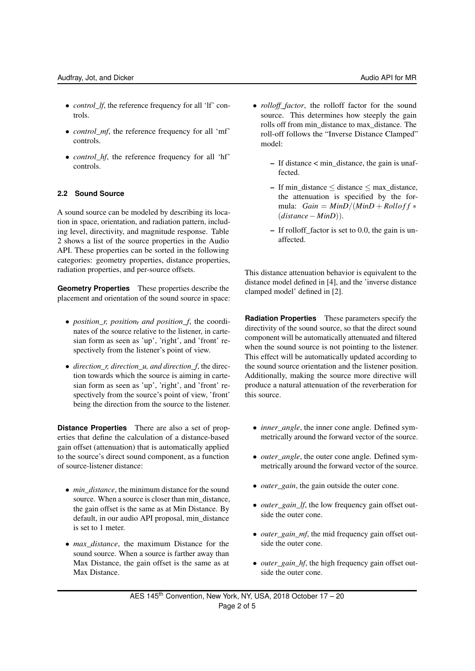- *control\_lf*, the reference frequency for all 'lf' controls.
- *control\_mf*, the reference frequency for all 'mf' controls.
- *control\_hf*, the reference frequency for all 'hf' controls.

#### **2.2 Sound Source**

A sound source can be modeled by describing its location in space, orientation, and radiation pattern, including level, directivity, and magnitude response. Table 2 shows a list of the source properties in the Audio API. These properties can be sorted in the following categories: geometry properties, distance properties, radiation properties, and per-source offsets.

**Geometry Properties** These properties describe the placement and orientation of the sound source in space:

- *position\_r, position<sub>7</sub>* and position\_f, the coordinates of the source relative to the listener, in cartesian form as seen as 'up', 'right', and 'front' respectively from the listener's point of view.
- *direction r, direction u, and direction f, the direc*tion towards which the source is aiming in cartesian form as seen as 'up', 'right', and 'front' respectively from the source's point of view, 'front' being the direction from the source to the listener.

**Distance Properties** There are also a set of properties that define the calculation of a distance-based gain offset (attenuation) that is automatically applied to the source's direct sound component, as a function of source-listener distance:

- *min\_distance*, the minimum distance for the sound source. When a source is closer than min\_distance, the gain offset is the same as at Min Distance. By default, in our audio API proposal, min\_distance is set to 1 meter.
- *max\_distance*, the maximum Distance for the sound source. When a source is farther away than Max Distance, the gain offset is the same as at Max Distance.
- *rolloff\_factor*, the rolloff factor for the sound source. This determines how steeply the gain rolls off from min\_distance to max\_distance. The roll-off follows the "Inverse Distance Clamped" model:
	- $-$  If distance  $<$  min distance, the gain is unaffected.
	- If min\_distance  $\leq$  distance  $\leq$  max\_distance, the attenuation is specified by the formula:  $Gain = MinD/(MinD + Rolloff *$ (*distance*− *MinD*)).
	- If rolloff\_factor is set to 0.0, the gain is unaffected.

This distance attenuation behavior is equivalent to the distance model defined in [4], and the 'inverse distance clamped model' defined in [2].

**Radiation Properties** These parameters specify the directivity of the sound source, so that the direct sound component will be automatically attenuated and filtered when the sound source is not pointing to the listener. This effect will be automatically updated according to the sound source orientation and the listener position. Additionally, making the source more directive will produce a natural attenuation of the reverberation for this source.

- *inner\_angle*, the inner cone angle. Defined symmetrically around the forward vector of the source.
- *outer angle*, the outer cone angle. Defined symmetrically around the forward vector of the source.
- *outer\_gain*, the gain outside the outer cone.
- *outer\_gain\_lf*, the low frequency gain offset outside the outer cone.
- *outer\_gain\_mf*, the mid frequency gain offset outside the outer cone.
- *outer gain hf*, the high frequency gain offset outside the outer cone.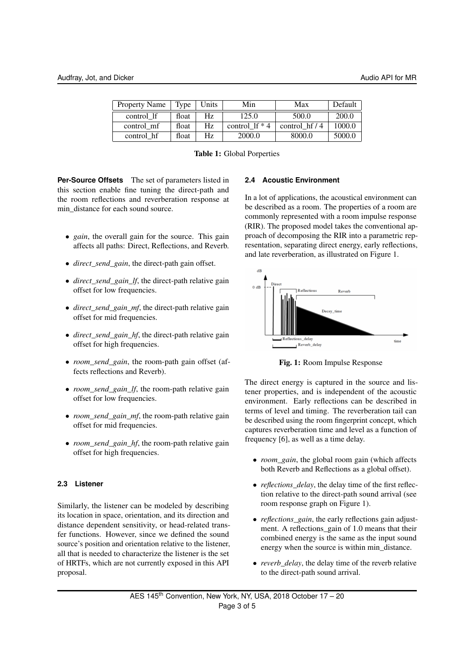| <b>Property Name</b> | Type  | Units | Min<br>Max       |                        | Default |
|----------------------|-------|-------|------------------|------------------------|---------|
| control If           | float | Hz    | 125.0            | 500.0                  | 200.0   |
| control mf           | float | Hz.   | control 1f $*$ 4 | control $\frac{hf}{4}$ | 1000.0  |
| control hf           | float | Hz.   | 2000.0           | 8000.0                 | 5000.0  |

Table 1: Global Porperties

**Per-Source Offsets** The set of parameters listed in this section enable fine tuning the direct-path and the room reflections and reverberation response at min\_distance for each sound source.

- *gain*, the overall gain for the source. This gain affects all paths: Direct, Reflections, and Reverb.
- *direct\_send\_gain*, the direct-path gain offset.
- *direct send gain If*, the direct-path relative gain offset for low frequencies.
- *direct\_send\_gain\_mf*, the direct-path relative gain offset for mid frequencies.
- *direct\_send\_gain\_hf*, the direct-path relative gain offset for high frequencies.
- *room\_send\_gain*, the room-path gain offset (affects reflections and Reverb).
- *room send gain If*, the room-path relative gain offset for low frequencies.
- *room send gain mf*, the room-path relative gain offset for mid frequencies.
- *room\_send\_gain\_hf*, the room-path relative gain offset for high frequencies.

#### **2.3 Listener**

Similarly, the listener can be modeled by describing its location in space, orientation, and its direction and distance dependent sensitivity, or head-related transfer functions. However, since we defined the sound source's position and orientation relative to the listener, all that is needed to characterize the listener is the set of HRTFs, which are not currently exposed in this API proposal.

#### **2.4 Acoustic Environment**

In a lot of applications, the acoustical environment can be described as a room. The properties of a room are commonly represented with a room impulse response (RIR). The proposed model takes the conventional approach of decomposing the RIR into a parametric representation, separating direct energy, early reflections, and late reverberation, as illustrated on Figure 1.



Fig. 1: Room Impulse Response

The direct energy is captured in the source and listener properties, and is independent of the acoustic environment. Early reflections can be described in terms of level and timing. The reverberation tail can be described using the room fingerprint concept, which captures reverberation time and level as a function of frequency [6], as well as a time delay.

- *room\_gain*, the global room gain (which affects both Reverb and Reflections as a global offset).
- *reflections delay*, the delay time of the first reflection relative to the direct-path sound arrival (see room response graph on Figure 1).
- *reflections\_gain*, the early reflections gain adjustment. A reflections\_gain of 1.0 means that their combined energy is the same as the input sound energy when the source is within min\_distance.
- *reverb delay*, the delay time of the reverb relative to the direct-path sound arrival.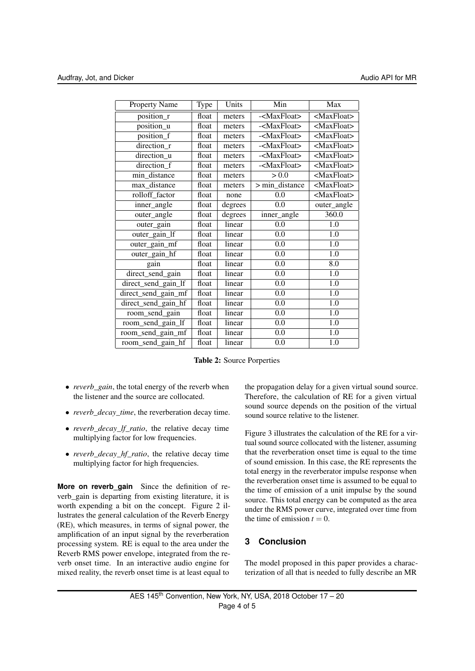| Property Name       | Type  | Units   | Min                     | Max                   |
|---------------------|-------|---------|-------------------------|-----------------------|
| position_r          | float | meters  | - <maxfloat></maxfloat> | <maxfloat></maxfloat> |
| position_u          | float | meters  | - <maxfloat></maxfloat> | <maxfloat></maxfloat> |
| position_f          | float | meters  | - <maxfloat></maxfloat> | <maxfloat></maxfloat> |
| direction_r         | float | meters  | - <maxfloat></maxfloat> | <maxfloat></maxfloat> |
| direction_u         | float | meters  | - <maxfloat></maxfloat> | <maxfloat></maxfloat> |
| direction_f         | float | meters  | - <maxfloat></maxfloat> | <maxfloat></maxfloat> |
| min_distance        | float | meters  | > 0.0                   | <maxfloat></maxfloat> |
| max_distance        | float | meters  | > min_distance          | <maxfloat></maxfloat> |
| rolloff factor      | float | none    | 0.0                     | <maxfloat></maxfloat> |
| inner_angle         | float | degrees | 0.0                     | outer_angle           |
| outer_angle         | float | degrees | inner_angle             | 360.0                 |
| outer_gain          | float | linear  | 0.0                     | 1.0                   |
| outer_gain_lf       | float | linear  | 0.0                     | 1.0                   |
| outer_gain_mf       | float | linear  | 0.0                     | 1.0                   |
| outer_gain_hf       | float | linear  | $\overline{0.0}$        | $\overline{1.0}$      |
| gain                | float | linear  | $\overline{0.0}$        | $\overline{8.0}$      |
| direct_send_gain    | float | linear  | $\overline{0.0}$        | 1.0                   |
| direct_send_gain_lf | float | linear  | 0.0                     | 1.0                   |
| direct_send_gain_mf | float | linear  | 0.0                     | 1.0                   |
| direct_send_gain_hf | float | linear  | 0.0                     | 1.0                   |
| room_send_gain      | float | linear  | 0.0                     | 1.0                   |
| room_send_gain_lf   | float | linear  | 0.0                     | 1.0                   |
| room_send_gain_mf   | float | linear  | 0.0                     | 1.0                   |
| room_send_gain_hf   | float | linear  | 0.0                     | $\overline{1}$ .0     |

Table 2: Source Porperties

- *reverb\_gain*, the total energy of the reverb when the listener and the source are collocated.
- *reverb\_decay\_time*, the reverberation decay time.
- *reverb\_decay\_lf\_ratio*, the relative decay time multiplying factor for low frequencies.
- *reverb\_decay\_hf\_ratio*, the relative decay time multiplying factor for high frequencies.

**More on reverb gain** Since the definition of reverb\_gain is departing from existing literature, it is worth expending a bit on the concept. Figure 2 illustrates the general calculation of the Reverb Energy (RE), which measures, in terms of signal power, the amplification of an input signal by the reverberation processing system. RE is equal to the area under the Reverb RMS power envelope, integrated from the reverb onset time. In an interactive audio engine for mixed reality, the reverb onset time is at least equal to

the propagation delay for a given virtual sound source. Therefore, the calculation of RE for a given virtual sound source depends on the position of the virtual sound source relative to the listener.

Figure 3 illustrates the calculation of the RE for a virtual sound source collocated with the listener, assuming that the reverberation onset time is equal to the time of sound emission. In this case, the RE represents the total energy in the reverberator impulse response when the reverberation onset time is assumed to be equal to the time of emission of a unit impulse by the sound source. This total energy can be computed as the area under the RMS power curve, integrated over time from the time of emission  $t = 0$ .

## **3 Conclusion**

The model proposed in this paper provides a characterization of all that is needed to fully describe an MR